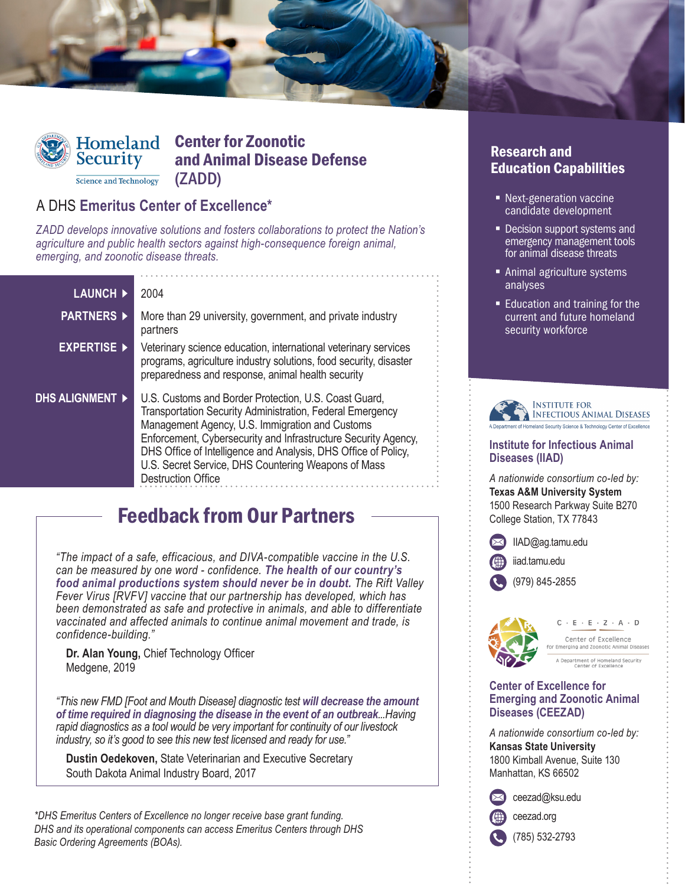

# Homeland Center for Zoonotic and Animal Disease Defense (ZADD)

## A DHS **Emeritus Center of Excellence\***

Science and Technology

*ZADD develops innovative solutions and fosters collaborations to protect the Nation's agriculture and public health sectors against high-consequence foreign animal, emerging, and zoonotic disease threats.*

| <b>LAUNCH ▶</b>        | 2004                                                                                                                                                                                                                                                                                                                                                                                                 |
|------------------------|------------------------------------------------------------------------------------------------------------------------------------------------------------------------------------------------------------------------------------------------------------------------------------------------------------------------------------------------------------------------------------------------------|
| <b>PARTNERS ▶</b>      | More than 29 university, government, and private industry<br>partners                                                                                                                                                                                                                                                                                                                                |
| <b>EXPERTISE</b>       | Veterinary science education, international veterinary services<br>programs, agriculture industry solutions, food security, disaster<br>preparedness and response, animal health security                                                                                                                                                                                                            |
| <b>DHS ALIGNMENT ▶</b> | U.S. Customs and Border Protection, U.S. Coast Guard,<br><b>Transportation Security Administration, Federal Emergency</b><br>Management Agency, U.S. Immigration and Customs<br>Enforcement, Cybersecurity and Infrastructure Security Agency,<br>DHS Office of Intelligence and Analysis, DHS Office of Policy,<br>U.S. Secret Service, DHS Countering Weapons of Mass<br><b>Destruction Office</b> |

# Feedback from Our Partners

*"The impact of a safe, efficacious, and DIVA-compatible vaccine in the U.S. can be measured by one word - confidence. The health of our country's food animal productions system should never be in doubt. The Rift Valley Fever Virus [RVFV] vaccine that our partnership has developed, which has been demonstrated as safe and protective in animals, and able to differentiate vaccinated and affected animals to continue animal movement and trade, is confidence-building."* 

**Dr. Alan Young,** Chief Technology Officer Medgene, 2019

*"This new FMD [Foot and Mouth Disease] diagnostic test will decrease the amount of time required in diagnosing the disease in the event of an outbreak...Having rapid diagnostics as a tool would be very important for continuity of our livestock industry, so it's good to see this new test licensed and ready for use."* 

**Dustin Oedekoven,** State Veterinarian and Executive Secretary South Dakota Animal Industry Board, 2017

*\*DHS Emeritus Centers of Excellence no longer receive base grant funding. DHS and its operational components can access Emeritus Centers through DHS Basic Ordering Agreements (BOAs).*

#### Research and Education Capabilities

- Next-generation vaccine candidate development
- Decision support systems and emergency management tools for animal disease threats
- **Animal agriculture systems** analyses
- **Education and training for the** current and future homeland security workforce



#### **Institute for Infectious Animal Diseases (IIAD)**

*A nationwide consortium co-led by:* **Texas A&M University System** 1500 Research Parkway Suite B270 College Station, TX 77843

[IIAD@ag.tamu.edu](mailto:IIAD@ag.tamu.edu)

[iiad.tamu.edu](http://iiad.tamu.edu)

(979) 845-2855



 $C - E - E - Z - A - D$ Center of Excellence Emerging and Zoonotic Animal Diseases

A Department of Homeland Security<br>Center of Excellence

#### **Center of Excellence for Emerging and Zoonotic Animal Diseases (CEEZAD)**

*A nationwide consortium co-led by:* **Kansas State University** 1800 Kimball Avenue, Suite 130 Manhattan, KS 66502

[ceezad@ksu.edu](mailto:ceezad@ksu.edu)

[ceezad.org](http://ceezad.org)

(785) 532-2793